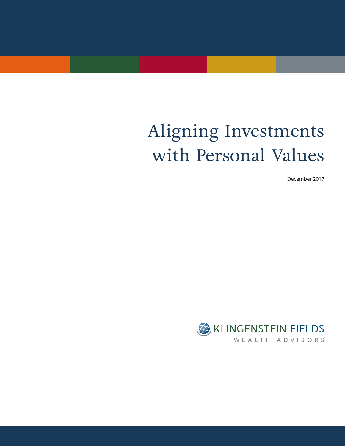# Aligning Investments with Personal Values

December 2017

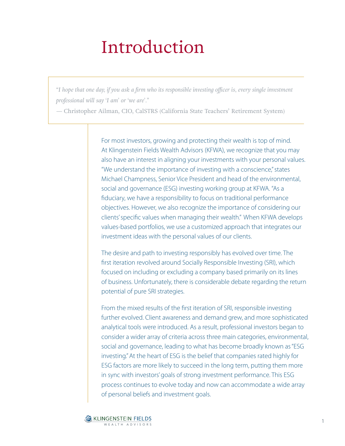# Introduction

*"I hope that one day, if you ask a firm who its responsible investing officer is, every single investment professional will say 'I am' or 'we are'."* 

*—* Christopher Ailman, CIO, CalSTRS (California State Teachers' Retirement System)

For most investors, growing and protecting their wealth is top of mind. At Klingenstein Fields Wealth Advisors (KFWA), we recognize that you may also have an interest in aligning your investments with your personal values. "We understand the importance of investing with a conscience," states Michael Champness, Senior Vice President and head of the environmental, social and governance (ESG) investing working group at KFWA. "As a fiduciary, we have a responsibility to focus on traditional performance objectives. However, we also recognize the importance of considering our clients' specific values when managing their wealth." When KFWA develops values-based portfolios, we use a customized approach that integrates our investment ideas with the personal values of our clients.

The desire and path to investing responsibly has evolved over time. The first iteration revolved around Socially Responsible Investing (SRI), which focused on including or excluding a company based primarily on its lines of business. Unfortunately, there is considerable debate regarding the return potential of pure SRI strategies.

From the mixed results of the first iteration of SRI, responsible investing further evolved. Client awareness and demand grew, and more sophisticated analytical tools were introduced. As a result, professional investors began to consider a wider array of criteria across three main categories, environmental, social and governance, leading to what has become broadly known as "ESG investing." At the heart of ESG is the belief that companies rated highly for ESG factors are more likely to succeed in the long term, putting them more in sync with investors' goals of strong investment performance. This ESG process continues to evolve today and now can accommodate a wide array of personal beliefs and investment goals.

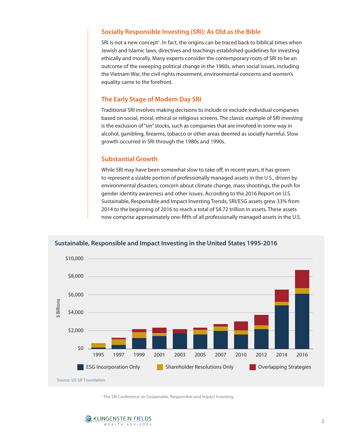## **Socially Responsible Investing (SRI): As Old as the Bible**

SRI is not a new concept<sup>1</sup>. In fact, the origins can be traced back to biblical times when Jewish and Islamic laws, directives and teachings established guidelines for investing ethically and morally. Many experts consider the contemporary roots of SRI to be an outcome of the sweeping political change in the 1960s, when social issues, including the Vietnam War, the civil rights movement, environmental concerns and women's equality came to the forefront.

## **The Early Stage of Modern Day SRI**

Traditional SRI involves making decisions to include or exclude individual companies based on social, moral, ethical or religious screens. The classic example of SRI investing is the exclusion of "sin" stocks, such as companies that are involved in some way in alcohol, gambling, firearms, tobacco or other areas deemed as socially harmful. Slow growth occurred in SRI through the 1980s and 1990s.

## **Substantial Growth**

While SRI may have been somewhat slow to take off, in recent years, it has grown to represent a sizable portion of professionally managed assets in the U.S., driven by environmental disasters, concern about climate change, mass shootings, the push for gender identity awareness and other issues. According to the 2016 Report on U.S. Sustainable, Responsible and Impact Investing Trends, SRI/ESG assets grew 33% from 2014 to the beginning of 2016 to reach a total of \$8.72 trillion in assets. These assets now comprise approximately one-fifth of all professionally managed assets in the U.S.



#### **Sustainable, Responsible and Impact Investing in the United States 1995-2016**

<sup>1</sup> The SRI Conference on Sustainable, Responsible and Impact Investing

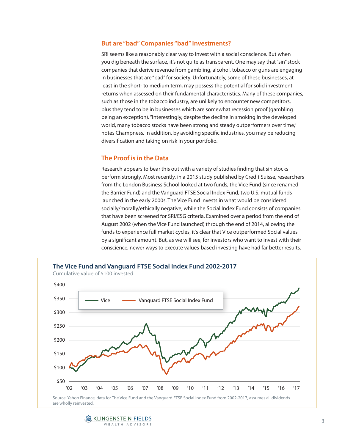## **But are "bad" Companies "bad" Investments?**

SRI seems like a reasonably clear way to invest with a social conscience. But when you dig beneath the surface, it's not quite as transparent. One may say that "sin" stock companies that derive revenue from gambling, alcohol, tobacco or guns are engaging in businesses that are "bad" for society. Unfortunately, some of these businesses, at least in the short- to medium term, may possess the potential for solid investment returns when assessed on their fundamental characteristics. Many of these companies, such as those in the tobacco industry, are unlikely to encounter new competitors, plus they tend to be in businesses which are somewhat recession proof (gambling being an exception). "Interestingly, despite the decline in smoking in the developed world, many tobacco stocks have been strong and steady outperformers over time," notes Champness. In addition, by avoiding specific industries, you may be reducing diversification and taking on risk in your portfolio.

## **The Proof is in the Data**

Research appears to bear this out with a variety of studies finding that sin stocks perform strongly. Most recently, in a 2015 study published by Credit Suisse, researchers from the London Business School looked at two funds, the Vice Fund (since renamed the Barrier Fund) and the Vanguard FTSE Social Index Fund, two U.S. mutual funds launched in the early 2000s. The Vice Fund invests in what would be considered socially/morally/ethically negative, while the Social Index Fund consists of companies that have been screened for SRI/ESG criteria. Examined over a period from the end of August 2002 (when the Vice Fund launched) through the end of 2014, allowing the funds to experience full market cycles, it's clear that Vice outperformed Social values by a significant amount. But, as we will see, for investors who want to invest with their conscience, newer ways to execute values-based investing have had far better results.



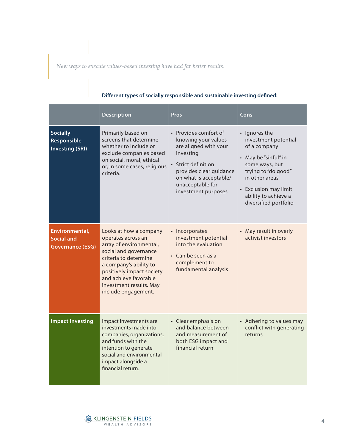*New ways to execute values-based investing have had far better results.*

|                                                                | <b>Description</b>                                                                                                                                                                                                                                          | <b>Pros</b>                                                                                                                                                                                               | Cons                                                                                                                                                                                                               |
|----------------------------------------------------------------|-------------------------------------------------------------------------------------------------------------------------------------------------------------------------------------------------------------------------------------------------------------|-----------------------------------------------------------------------------------------------------------------------------------------------------------------------------------------------------------|--------------------------------------------------------------------------------------------------------------------------------------------------------------------------------------------------------------------|
| <b>Socially</b><br>Responsible<br><b>Investing (SRI)</b>       | Primarily based on<br>screens that determine<br>whether to include or<br>exclude companies based<br>on social, moral, ethical<br>or, in some cases, religious<br>criteria.                                                                                  | • Provides comfort of<br>knowing your values<br>are aligned with your<br>investing<br>• Strict definition<br>provides clear guidance<br>on what is acceptable/<br>unacceptable for<br>investment purposes | • Ignores the<br>investment potential<br>of a company<br>• May be "sinful" in<br>some ways, but<br>trying to "do good"<br>in other areas<br>• Exclusion may limit<br>ability to achieve a<br>diversified portfolio |
| Environmental,<br><b>Social and</b><br><b>Governance (ESG)</b> | Looks at how a company<br>operates across an<br>array of environmental,<br>social and governance<br>criteria to determine<br>a company's ability to<br>positively impact society<br>and achieve favorable<br>investment results. May<br>include engagement. | • Incorporates<br>investment potential<br>into the evaluation<br>• Can be seen as a<br>complement to<br>fundamental analysis                                                                              | • May result in overly<br>activist investors                                                                                                                                                                       |
| <b>Impact Investing</b>                                        | Impact investments are<br>investments made into<br>companies, organizations,<br>and funds with the<br>intention to generate<br>social and environmental<br>impact alongside a<br>financial return.                                                          | • Clear emphasis on<br>and balance between<br>and measurement of<br>both ESG impact and<br>financial return                                                                                               | • Adhering to values may<br>conflict with generating<br>returns                                                                                                                                                    |

## **Different types of socially responsible and sustainable investing defined:**

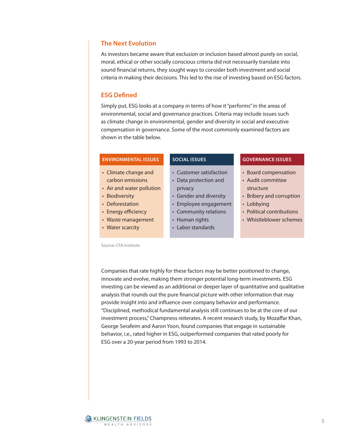## **The Next Evolution**

As investors became aware that exclusion or inclusion based almost purely on social, moral, ethical or other socially conscious criteria did not necessarily translate into sound financial returns, they sought ways to consider both investment and social criteria in making their decisions. This led to the rise of investing based on ESG factors.

## **ESG Defined**

Simply put, ESG looks at a company in terms of how it "performs" in the areas of environmental, social and governance practices. Criteria may include issues such as climate change in environmental, gender and diversity in social and executive compensation in governance. Some of the most commonly examined factors are shown in the table below.

#### **ENVIRONMENTAL ISSUES**

- Climate change and carbon emissions
- Air and water pollution
- Biodiversity
- Deforestation
- Energy efficiency
- Waste management
- Water scarcity

#### Source: CFA Institute

#### **SOCIAL ISSUES**

- Customer satisfaction • Data protection and
- privacy
- Gender and diversity
- Employee engagement
- Community relations
- Human rights
- Labor standards

#### **GOVERNANCE ISSUES**

- Board compensation
- Audit committee structure
- Bribery and corruption
- Lobbying
- Political contributions
- Whistleblower schemes

Companies that rate highly for these factors may be better positioned to change, innovate and evolve, making them stronger potential long-term investments. ESG investing can be viewed as an additional or deeper layer of quantitative and qualitative analysis that rounds out the pure financial picture with other information that may provide insight into and influence over company behavior and performance. "Disciplined, methodical fundamental analysis still continues to be at the core of our investment process," Champness reiterates. A recent research study, by Mozaffar Khan, George Serafeim and Aaron Yoon, found companies that engage in sustainable behavior, i.e., rated higher in ESG, outperformed companies that rated poorly for ESG over a 20-year period from 1993 to 2014.

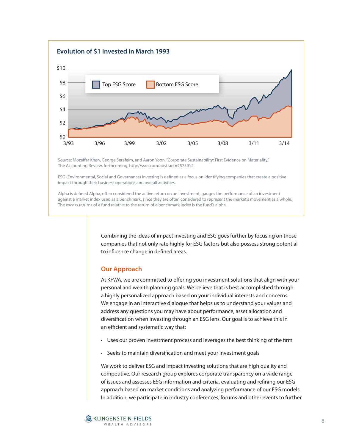

Source: Mozaffar Khan, George Serafeim, and Aaron Yoon, "Corporate Sustainability: First Evidence on Materiality," The Accounting Review, forthcoming, http://ssrn.com/abstract=2575912

ESG (Environmental, Social and Governance) Investing is defined as a focus on identifying companies that create a positive impact through their business operations and overall activities.

3/93 3/96 3/99 3/02 3/05 3/08 3/11 3/14

Alpha is defined Alpha, often considered the active return on an investment, gauges the performance of an investment against a market index used as a benchmark, since they are often considered to represent the market's movement as a whole. The excess returns of a fund relative to the return of a benchmark index is the fund's alpha.

> Combining the ideas of impact investing and ESG goes further by focusing on those companies that not only rate highly for ESG factors but also possess strong potential to influence change in defined areas.

### **Our Approach**

At KFWA, we are committed to offering you investment solutions that align with your personal and wealth planning goals. We believe that is best accomplished through a highly personalized approach based on your individual interests and concerns. We engage in an interactive dialogue that helps us to understand your values and address any questions you may have about performance, asset allocation and diversification when investing through an ESG lens. Our goal is to achieve this in an efficient and systematic way that:

- Uses our proven investment process and leverages the best thinking of the firm
- Seeks to maintain diversification and meet your investment goals

We work to deliver ESG and impact investing solutions that are high quality and competitive. Our research group explores corporate transparency on a wide range of issues and assesses ESG information and criteria, evaluating and refining our ESG approach based on market conditions and analyzing performance of our ESG models. In addition, we participate in industry conferences, forums and other events to further